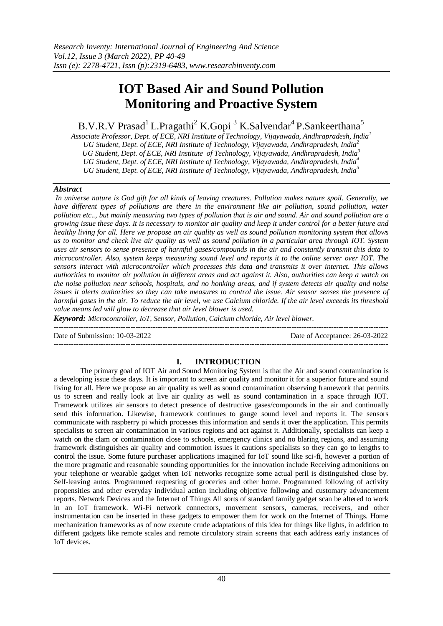# **IOT Based Air and Sound Pollution Monitoring and Proactive System**

B.V.R.V Prasad<sup>1</sup> L.Pragathi<sup>2</sup> K.Gopi<sup>3</sup> K.Salvendar<sup>4</sup> P.Sankeerthana<sup>5</sup>

*Associate Professor, Dept. of ECE, NRI Institute of Technology, Vijayawada, Andhrapradesh, India<sup>1</sup> UG Student, Dept. of ECE, NRI Institute of Technology, Vijayawada, Andhrapradesh, India<sup>2</sup> UG Student, Dept. of ECE, NRI Institute of Technology, Vijayawada, Andhrapradesh, India<sup>3</sup> UG Student, Dept. of ECE, NRI Institute of Technology, Vijayawada, Andhrapradesh, India<sup>4</sup> UG Student, Dept. of ECE, NRI Institute of Technology, Vijayawada, Andhrapradesh, India<sup>5</sup>*

# *Abstract*

*In universe nature is God gift for all kinds of leaving creatures. Pollution makes nature spoil. Generally, we have different types of pollutions are there in the environment like air pollution, sound pollution, water pollution etc.., but mainly measuring two types of pollution that is air and sound. Air and sound pollution are a growing issue these days. It is necessary to monitor air quality and keep it under control for a better future and healthy living for all. Here we propose an air quality as well as sound pollution monitoring system that allows us to monitor and check live air quality as well as sound pollution in a particular area through IOT. System uses air sensors to sense presence of harmful gases/compounds in the air and constantly transmit this data to microcontroller. Also, system keeps measuring sound level and reports it to the online server over IOT. The sensors interact with microcontroller which processes this data and transmits it over internet. This allows authorities to monitor air pollution in different areas and act against it. Also, authorities can keep a watch on the noise pollution near schools, hospitals, and no honking areas, and if system detects air quality and noise issues it alerts authorities so they can take measures to control the issue. Air sensor senses the presence of harmful gases in the air. To reduce the air level, we use Calcium chloride. If the air level exceeds its threshold value means led will glow to decrease that air level blower is used.* 

*Keyword: Microcontroller, IoT, Sensor, Pollution, Calcium chloride, Air level blower.* 

Date of Submission: 10-03-2022 Date of Acceptance: 26-03-2022 ---------------------------------------------------------------------------------------------------------------------------------------

# **I. INTRODUCTION**

The primary goal of IOT Air and Sound Monitoring System is that the Air and sound contamination is a developing issue these days. It is important to screen air quality and monitor it for a superior future and sound living for all. Here we propose an air quality as well as sound contamination observing framework that permits us to screen and really look at live air quality as well as sound contamination in a space through IOT. Framework utilizes air sensors to detect presence of destructive gases/compounds in the air and continually send this information. Likewise, framework continues to gauge sound level and reports it. The sensors communicate with raspberry pi which processes this information and sends it over the application. This permits specialists to screen air contamination in various regions and act against it. Additionally, specialists can keep a watch on the clam or contamination close to schools, emergency clinics and no blaring regions, and assuming framework distinguishes air quality and commotion issues it cautions specialists so they can go to lengths to control the issue. Some future purchaser applications imagined for IoT sound like sci-fi, however a portion of the more pragmatic and reasonable sounding opportunities for the innovation include Receiving admonitions on your telephone or wearable gadget when IoT networks recognize some actual peril is distinguished close by. Self-leaving autos. Programmed requesting of groceries and other home. Programmed following of activity propensities and other everyday individual action including objective following and customary advancement reports. Network Devices and the Internet of Things All sorts of standard family gadget scan be altered to work in an IoT framework. Wi-Fi network connectors, movement sensors, cameras, receivers, and other instrumentation can be inserted in these gadgets to empower them for work on the Internet of Things. Home mechanization frameworks as of now execute crude adaptations of this idea for things like lights, in addition to different gadgets like remote scales and remote circulatory strain screens that each address early instances of IoT devices.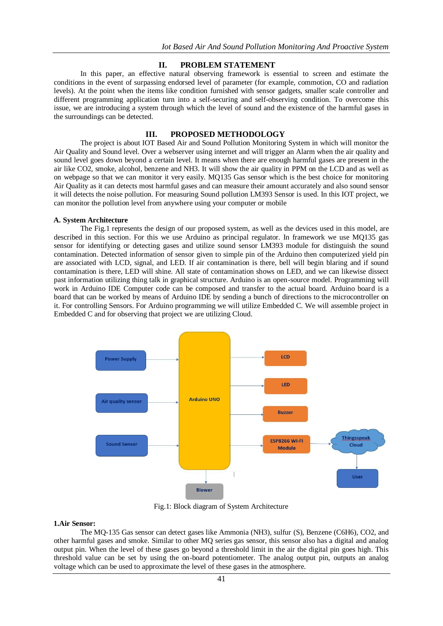### **II. PROBLEM STATEMENT**

In this paper, an effective natural observing framework is essential to screen and estimate the conditions in the event of surpassing endorsed level of parameter (for example, commotion, CO and radiation levels). At the point when the items like condition furnished with sensor gadgets, smaller scale controller and different programming application turn into a self-securing and self-observing condition. To overcome this issue, we are introducing a system through which the level of sound and the existence of the harmful gases in the surroundings can be detected.

# **III. PROPOSED METHODOLOGY**

The project is about IOT Based Air and Sound Pollution Monitoring System in which will monitor the Air Quality and Sound level. Over a webserver using internet and will trigger an Alarm when the air quality and sound level goes down beyond a certain level. It means when there are enough harmful gases are present in the air like CO2, smoke, alcohol, benzene and NH3. It will show the air quality in PPM on the LCD and as well as on webpage so that we can monitor it very easily. MQ135 Gas sensor which is the best choice for monitoring Air Quality as it can detects most harmful gases and can measure their amount accurately and also sound sensor it will detects the noise pollution. For measuring Sound pollution LM393 Sensor is used. In this IOT project, we can monitor the pollution level from anywhere using your computer or mobile

#### **A. System Architecture**

The Fig.1 represents the design of our proposed system, as well as the devices used in this model, are described in this section. For this we use Arduino as principal regulator. In framework we use MQ135 gas sensor for identifying or detecting gases and utilize sound sensor LM393 module for distinguish the sound contamination. Detected information of sensor given to simple pin of the Arduino then computerized yield pin are associated with LCD, signal, and LED. If air contamination is there, bell will begin blaring and if sound contamination is there, LED will shine. All state of contamination shows on LED, and we can likewise dissect past information utilizing thing talk in graphical structure. Arduino is an open-source model. Programming will work in Arduino IDE Computer code can be composed and transfer to the actual board. Arduino board is a board that can be worked by means of Arduino IDE by sending a bunch of directions to the microcontroller on it. For controlling Sensors. For Arduino programming we will utilize Embedded C. We will assemble project in Embedded C and for observing that project we are utilizing Cloud.



Fig.1: Block diagram of System Architecture

### **1.Air Sensor:**

The MQ-135 Gas sensor can detect gases like Ammonia (NH3), sulfur (S), Benzene (C6H6), CO2, and other harmful gases and smoke. Similar to other MQ series gas sensor, this sensor also has a digital and analog output pin. When the level of these gases go beyond a threshold limit in the air the digital pin goes high. This threshold value can be set by using the on-board potentiometer. The analog output pin, outputs an analog voltage which can be used to approximate the level of these gases in the atmosphere.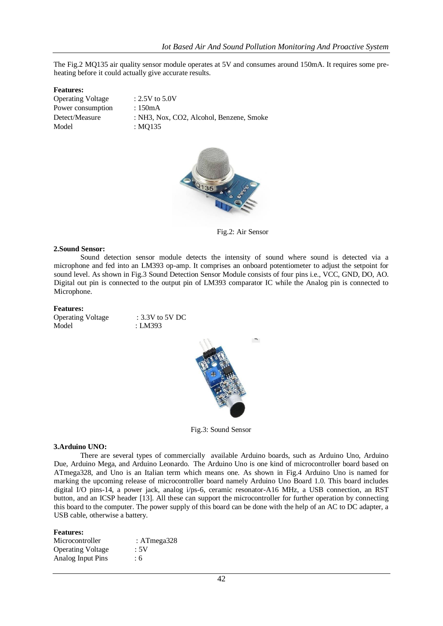The Fig.2 MQ135 air quality sensor module operates at 5V and consumes around 150mA. It requires some preheating before it could actually give accurate results.

### **Features:**

Operating Voltage : 2.5V to 5.0V Power consumption : 150mA Detect/Measure : NH3, Nox, CO2, Alcohol, Benzene, Smoke Model : MQ135



Fig.2: Air Sensor

### **2.Sound Sensor:**

Sound detection sensor module detects the intensity of sound where sound is detected via a microphone and fed into an LM393 op-amp. It comprises an onboard potentiometer to adjust the setpoint for sound level. As shown in Fig.3 Sound Detection Sensor Module consists of four pins i.e., VCC, GND, DO, AO. Digital out pin is connected to the output pin of LM393 comparator IC while the Analog pin is connected to Microphone.

#### **Features:**

Operating Voltage : 3.3V to 5V DC Model : LM393



Fig.3: Sound Sensor

### **3.Arduino UNO:**

There are several types of commercially available Arduino boards, such as Arduino Uno, Arduino Due, Arduino Mega, and Arduino Leonardo. The Arduino Uno is one kind of microcontroller board based on ATmega328, and Uno is an Italian term which means one. As shown in Fig.4 Arduino Uno is named for marking the upcoming release of microcontroller board namely Arduino Uno Board 1.0. This board includes digital I/O pins-14, a power jack, analog i/ps-6, ceramic resonator-A16 MHz, a USB connection, an RST button, and an ICSP header [13]. All these can support the microcontroller for further operation by connecting this board to the computer. The power supply of this board can be done with the help of an AC to DC adapter, a USB cable, otherwise a battery.

#### **Features:**

| Microcontroller          | : ATmega $328$ |
|--------------------------|----------------|
| <b>Operating Voltage</b> | :5V            |
| Analog Input Pins        | : 6            |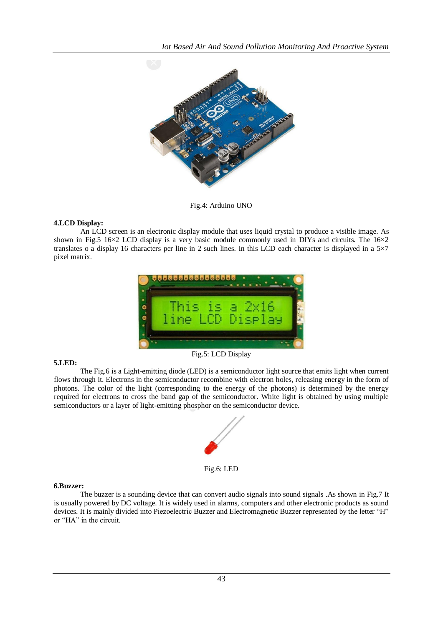

Fig.4: Arduino UNO

# **4.LCD Display:**

An LCD screen is an electronic display module that uses liquid crystal to produce a visible image. As shown in Fig.5 16 $\times$ 2 LCD display is a very basic module commonly used in DIYs and circuits. The 16 $\times$ 2 translates o a display 16 characters per line in 2 such lines. In this LCD each character is displayed in a 5×7 pixel matrix.



# **5.LED:**

The Fig.6 is a Light-emitting diode (LED) is a semiconductor light source that emits light when current flows through it. Electrons in the semiconductor recombine with electron holes, releasing energy in the form of photons. The color of the light (corresponding to the energy of the photons) is determined by the energy required for electrons to cross the band gap of the semiconductor. White light is obtained by using multiple semiconductors or a layer of light-emitting phosphor on the semiconductor device.



Fig.6: LED

### **6.Buzzer:**

The buzzer is a sounding device that can convert audio signals into sound signals .As shown in Fig.7 It is usually powered by DC voltage. It is widely used in alarms, computers and other electronic products as sound devices. It is mainly divided into Piezoelectric Buzzer and Electromagnetic Buzzer represented by the letter "H" or "HA" in the circuit.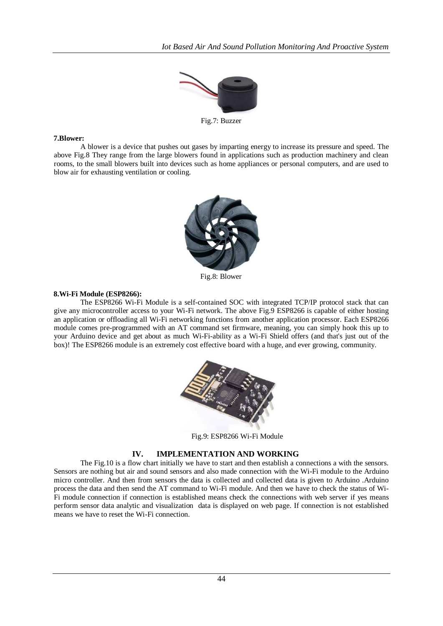

Fig.7: Buzzer

### **7.Blower:**

A blower is a device that pushes out gases by imparting energy to increase its pressure and speed. The above Fig.8 They range from the large blowers found in applications such as production machinery and clean rooms, to the small blowers built into devices such as home appliances or personal computers, and are used to blow air for exhausting ventilation or cooling.



Fig.8: Blower

### **8.Wi-Fi Module (ESP8266):**

The ESP8266 Wi-Fi Module is a self-contained SOC with integrated TCP/IP protocol stack that can give any microcontroller access to your Wi-Fi network. The above Fig.9 ESP8266 is capable of either hosting an application or offloading all Wi-Fi networking functions from another application processor. Each ESP8266 module comes pre-programmed with an AT command set firmware, meaning, you can simply hook this up to your Arduino device and get about as much Wi-Fi-ability as a Wi-Fi Shield offers (and that's just out of the box)! The ESP8266 module is an extremely cost effective board with a huge, and ever growing, community.



Fig.9: ESP8266 Wi-Fi Module

# **IV. IMPLEMENTATION AND WORKING**

The Fig.10 is a flow chart initially we have to start and then establish a connections a with the sensors. Sensors are nothing but air and sound sensors and also made connection with the Wi-Fi module to the Arduino micro controller. And then from sensors the data is collected and collected data is given to Arduino .Arduino process the data and then send the AT command to Wi-Fi module. And then we have to check the status of Wi-Fi module connection if connection is established means check the connections with web server if yes means perform sensor data analytic and visualization data is displayed on web page. If connection is not established means we have to reset the Wi-Fi connection.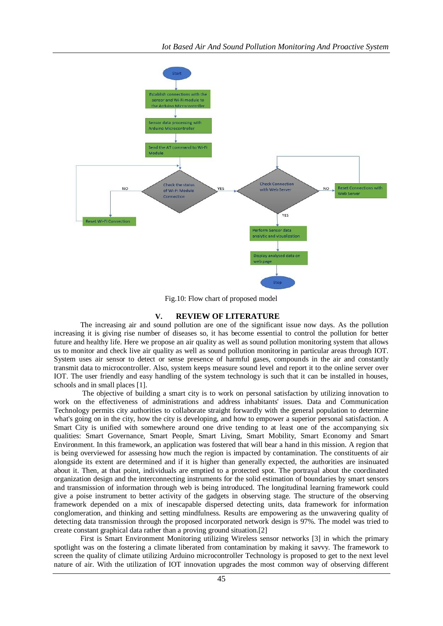

Fig.10: Flow chart of proposed model

### **V. REVIEW OF LITERATURE**

The increasing air and sound pollution are one of the significant issue now days. As the pollution increasing it is giving rise number of diseases so, it has become essential to control the pollution for better future and healthy life. Here we propose an air quality as well as sound pollution monitoring system that allows us to monitor and check live air quality as well as sound pollution monitoring in particular areas through IOT. System uses air sensor to detect or sense presence of harmful gases, compounds in the air and constantly transmit data to microcontroller. Also, system keeps measure sound level and report it to the online server over IOT. The user friendly and easy handling of the system technology is such that it can be installed in houses, schools and in small places [1].

The objective of building a smart city is to work on personal satisfaction by utilizing innovation to work on the effectiveness of administrations and address inhabitants' issues. Data and Communication Technology permits city authorities to collaborate straight forwardly with the general population to determine what's going on in the city, how the city is developing, and how to empower a superior personal satisfaction. A Smart City is unified with somewhere around one drive tending to at least one of the accompanying six qualities: Smart Governance, Smart People, Smart Living, Smart Mobility, Smart Economy and Smart Environment. In this framework, an application was fostered that will bear a hand in this mission. A region that is being overviewed for assessing how much the region is impacted by contamination. The constituents of air alongside its extent are determined and if it is higher than generally expected, the authorities are insinuated about it. Then, at that point, individuals are emptied to a protected spot. The portrayal about the coordinated organization design and the interconnecting instruments for the solid estimation of boundaries by smart sensors and transmission of information through web is being introduced. The longitudinal learning framework could give a poise instrument to better activity of the gadgets in observing stage. The structure of the observing framework depended on a mix of inescapable dispersed detecting units, data framework for information conglomeration, and thinking and setting mindfulness. Results are empowering as the unwavering quality of detecting data transmission through the proposed incorporated network design is 97%. The model was tried to create constant graphical data rather than a proving ground situation.[2]

First is Smart Environment Monitoring utilizing Wireless sensor networks [3] in which the primary spotlight was on the fostering a climate liberated from contamination by making it savvy. The framework to screen the quality of climate utilizing Arduino microcontroller Technology is proposed to get to the next level nature of air. With the utilization of IOT innovation upgrades the most common way of observing different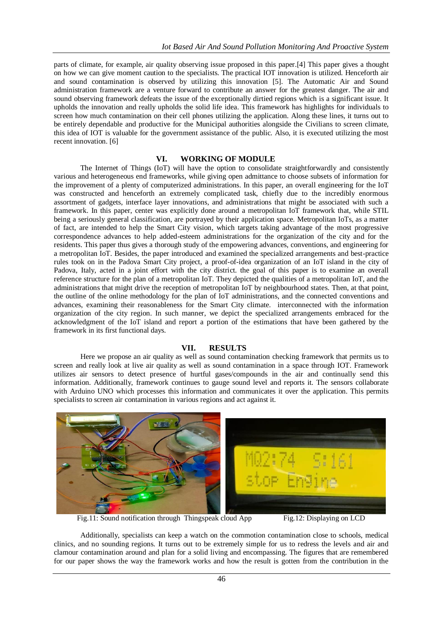parts of climate, for example, air quality observing issue proposed in this paper.[4] This paper gives a thought on how we can give moment caution to the specialists. The practical IOT innovation is utilized. Henceforth air and sound contamination is observed by utilizing this innovation [5]. The Automatic Air and Sound administration framework are a venture forward to contribute an answer for the greatest danger. The air and sound observing framework defeats the issue of the exceptionally dirtied regions which is a significant issue. It upholds the innovation and really upholds the solid life idea. This framework has highlights for individuals to screen how much contamination on their cell phones utilizing the application. Along these lines, it turns out to be entirely dependable and productive for the Municipal authorities alongside the Civilians to screen climate, this idea of IOT is valuable for the government assistance of the public. Also, it is executed utilizing the most recent innovation. [6]

# **VI. WORKING OF MODULE**

The Internet of Things (IoT) will have the option to consolidate straightforwardly and consistently various and heterogeneous end frameworks, while giving open admittance to choose subsets of information for the improvement of a plenty of computerized administrations. In this paper, an overall engineering for the IoT was constructed and henceforth an extremely complicated task, chiefly due to the incredibly enormous assortment of gadgets, interface layer innovations, and administrations that might be associated with such a framework. In this paper, center was explicitly done around a metropolitan IoT framework that, while STIL being a seriously general classification, are portrayed by their application space. Metropolitan IoTs, as a matter of fact, are intended to help the Smart City vision, which targets taking advantage of the most progressive correspondence advances to help added-esteem administrations for the organization of the city and for the residents. This paper thus gives a thorough study of the empowering advances, conventions, and engineering for a metropolitan IoT. Besides, the paper introduced and examined the specialized arrangements and best-practice rules took on in the Padova Smart City project, a proof-of-idea organization of an IoT island in the city of Padova, Italy, acted in a joint effort with the city district. the goal of this paper is to examine an overall reference structure for the plan of a metropolitan IoT. They depicted the qualities of a metropolitan IoT, and the administrations that might drive the reception of metropolitan IoT by neighbourhood states. Then, at that point, the outline of the online methodology for the plan of IoT administrations, and the connected conventions and advances, examining their reasonableness for the Smart City climate. interconnected with the information organization of the city region. In such manner, we depict the specialized arrangements embraced for the acknowledgment of the IoT island and report a portion of the estimations that have been gathered by the framework in its first functional days.

### **VII. RESULTS**

Here we propose an air quality as well as sound contamination checking framework that permits us to screen and really look at live air quality as well as sound contamination in a space through IOT. Framework utilizes air sensors to detect presence of hurtful gases/compounds in the air and continually send this information. Additionally, framework continues to gauge sound level and reports it. The sensors collaborate with Arduino UNO which processes this information and communicates it over the application. This permits specialists to screen air contamination in various regions and act against it.



Fig.11: Sound notification through Thingspeak cloud App Fig.12: Displaying on LCD

Additionally, specialists can keep a watch on the commotion contamination close to schools, medical clinics, and no sounding regions. It turns out to be extremely simple for us to redress the levels and air and clamour contamination around and plan for a solid living and encompassing. The figures that are remembered for our paper shows the way the framework works and how the result is gotten from the contribution in the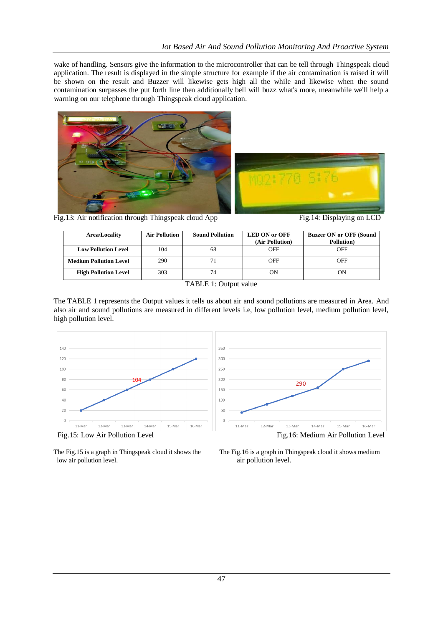wake of handling. Sensors give the information to the microcontroller that can be tell through Thingspeak cloud application. The result is displayed in the simple structure for example if the air contamination is raised it will be shown on the result and Buzzer will likewise gets high all the while and likewise when the sound contamination surpasses the put forth line then additionally bell will buzz what's more, meanwhile we'll help a warning on our telephone through Thingspeak cloud application.





Fig.13: Air notification through Thingspeak cloud App Fig.14: Displaying on LCD



| Area/Locality                 | <b>Air Pollution</b> | <b>Sound Pollution</b> | <b>LED ON or OFF</b><br>(Air Pollution) | <b>Buzzer ON or OFF (Sound)</b><br><b>Pollution</b> ) |
|-------------------------------|----------------------|------------------------|-----------------------------------------|-------------------------------------------------------|
| <b>Low Pollution Level</b>    | 104                  | 68                     | OFF                                     | OFF                                                   |
| <b>Medium Pollution Level</b> | 290                  |                        | OFF                                     | OFF                                                   |
| <b>High Pollution Level</b>   | 303                  | 74                     | OΝ                                      | ON                                                    |

TABLE 1: Output value

The TABLE 1 represents the Output values it tells us about air and sound pollutions are measured in Area. And also air and sound pollutions are measured in different levels i.e, low pollution level, medium pollution level, high pollution level.



low air pollution level.  $\qquad \qquad \text{air pollution level.}$ 

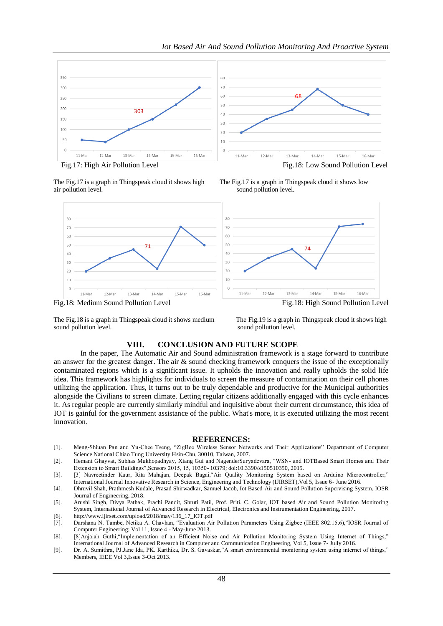

air pollution level. Sound pollution level.



The Fig.17 is a graph in Thingspeak cloud it shows high The Fig.17 is a graph in Thingspeak cloud it shows low



The Fig.18 is a graph in Thingspeak cloud it shows medium The Fig.19 is a graph in Thingspeak cloud it shows high sound pollution level. Sound pollution level.

### **VIII. CONCLUSION AND FUTURE SCOPE**

In the paper, The Automatic Air and Sound administration framework is a stage forward to contribute an answer for the greatest danger. The air & sound checking framework conquers the issue of the exceptionally contaminated regions which is a significant issue. It upholds the innovation and really upholds the solid life idea. This framework has highlights for individuals to screen the measure of contamination on their cell phones utilizing the application. Thus, it turns out to be truly dependable and productive for the Municipal authorities alongside the Civilians to screen climate. Letting regular citizens additionally engaged with this cycle enhances it. As regular people are currently similarly mindful and inquisitive about their current circumstance, this idea of IOT is gainful for the government assistance of the public. What's more, it is executed utilizing the most recent innovation.

#### **REFERENCES:**

- [1]. Meng-Shiuan Pan and Yu-Chee Tseng, "ZigBee Wireless Sensor Networks and Their Applications" Department of Computer Science National Chiao Tung University Hsin-Chu, 30010, Taiwan, 2007.
- [2]. Hemant Ghayvat, Subhas Mukhopadhyay, Xiang Gui and NagenderSuryadevara, "WSN- and IOTBased Smart Homes and Their Extension to Smart Buildings",Sensors 2015, 15, 10350- 10379; doi:10.3390/s150510350, 2015.
- [3]. [3] Navreetinder Kaur, Rita Mahajan, Deepak Bagai,"Air Quality Monitoring System based on Arduino Microcontroller," International Journal Innovative Research in Science, Engineering and Technology (IJIRSET),Vol 5, Issue 6- June 2016.
- [4]. Dhruvil Shah, Prathmesh Kudale, Prasad Shirwadkar, Samuel Jacob, Iot Based Air and Sound Pollution Supervising System, IOSR Journal of Engineering, 2018.
- [5]. Arushi Singh, Divya Pathak, Prachi Pandit, Shruti Patil, Prof. Priti. C. Golar, IOT based Air and Sound Pollution Monitoring System, International Journal of Advanced Research in Electrical, Electronics and Instrumentation Engineering, 2017.
- [6]. [http://www.ijirset.com/upload/2018/may/136\\_17\\_IOT.pdf](http://www.ijirset.com/upload/2018/may/136_17_IOT.pdf)
- [7]. Darshana N. Tambe, Netika A. Chavhan, "Evaluation Air Pollution Parameters Using Zigbee (IEEE 802.15.6),"IOSR Journal of Computer Engineering; Vol 11, Issue 4 - May-June 2013.
- [8]. [8]Anjaiah Guthi,"Implementation of an Efficient Noise and Air Pollution Monitoring System Using Internet of Things," International Journal of Advanced Research in Computer and Communication Engineering, Vol 5, Issue 7- Jully 2016.
- [9]. Dr. A. Sumithra, PJ.Jane Ida, PK. Karthika, Dr. S. Gavaskar,"A smart environmental monitoring system using internet of things," Members, IEEE Vol 3,Issue 3-Oct 2013.